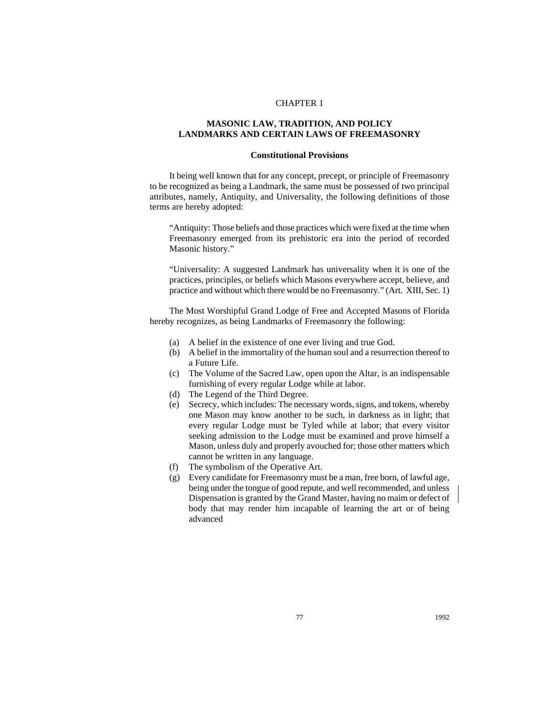## CHAPTER 1

# **MASONIC LAW, TRADITION, AND POLICY LANDMARKS AND CERTAIN LAWS OF FREEMASONRY**

## **Constitutional Provisions**

It being well known that for any concept, precept, or principle of Freemasonry to be recognized as being a Landmark, the same must be possessed of two principal attributes, namely, Antiquity, and Universality, the following definitions of those terms are hereby adopted:

"Antiquity: Those beliefs and those practices which were fixed at the time when Freemasonry emerged from its prehistoric era into the period of recorded Masonic history."

"Universality: A suggested Landmark has universality when it is one of the practices, principles, or beliefs which Masons everywhere accept, believe, and practice and without which there would be no Freemasonry." (Art. XIII, Sec. 1)

The Most Worshipful Grand Lodge of Free and Accepted Masons of Florida hereby recognizes, as being Landmarks of Freemasonry the following:

- (a) A belief in the existence of one ever living and true God.
- (b) A belief in the immortality of the human soul and a resurrection thereof to a Future Life.
- (c) The Volume of the Sacred Law, open upon the Altar, is an indispensable furnishing of every regular Lodge while at labor.
- (d) The Legend of the Third Degree.
- (e) Secrecy, which includes: The necessary words, signs, and tokens, whereby one Mason may know another to be such, in darkness as in light; that every regular Lodge must be Tyled while at labor; that every visitor seeking admission to the Lodge must be examined and prove himself a Mason, unless duly and properly avouched for; those other matters which cannot be written in any language.
- (f) The symbolism of the Operative Art.
- (g) Every candidate for Freemasonry must be a man, free born, of lawful age, being under the tongue of good repute, and well recommended, and unless Dispensation is granted by the Grand Master, having no maim or defect of body that may render him incapable of learning the art or of being advanced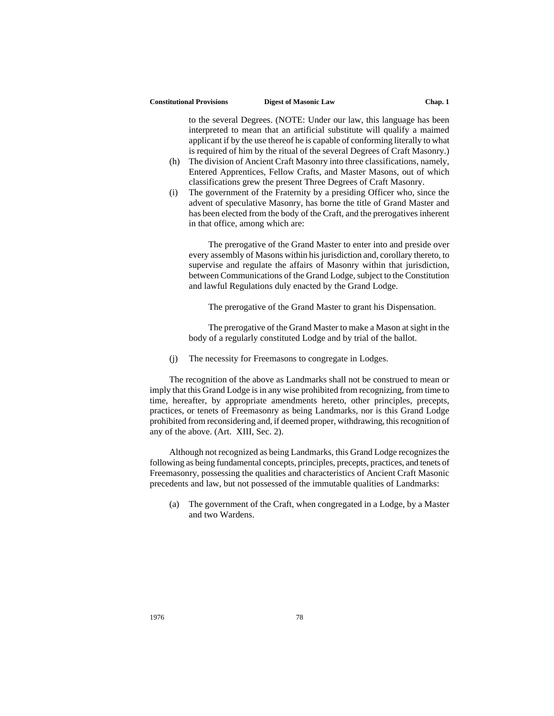#### **Constitutional Provisions Digest of Masonic Law Chap. 1**

to the several Degrees. (NOTE: Under our law, this language has been interpreted to mean that an artificial substitute will qualify a maimed applicant if by the use thereof he is capable of conforming literally to what is required of him by the ritual of the several Degrees of Craft Masonry.)

- (h) The division of Ancient Craft Masonry into three classifications, namely, Entered Apprentices, Fellow Crafts, and Master Masons, out of which classifications grew the present Three Degrees of Craft Masonry.
- (i) The government of the Fraternity by a presiding Officer who, since the advent of speculative Masonry, has borne the title of Grand Master and has been elected from the body of the Craft, and the prerogatives inherent in that office, among which are:

The prerogative of the Grand Master to enter into and preside over every assembly of Masons within his jurisdiction and, corollary thereto, to supervise and regulate the affairs of Masonry within that jurisdiction, between Communications of the Grand Lodge, subject to the Constitution and lawful Regulations duly enacted by the Grand Lodge.

The prerogative of the Grand Master to grant his Dispensation.

The prerogative of the Grand Master to make a Mason at sight in the body of a regularly constituted Lodge and by trial of the ballot.

(j) The necessity for Freemasons to congregate in Lodges.

The recognition of the above as Landmarks shall not be construed to mean or imply that this Grand Lodge is in any wise prohibited from recognizing, from time to time, hereafter, by appropriate amendments hereto, other principles, precepts, practices, or tenets of Freemasonry as being Landmarks, nor is this Grand Lodge prohibited from reconsidering and, if deemed proper, withdrawing, this recognition of any of the above. (Art. XIII, Sec. 2).

Although not recognized as being Landmarks, this Grand Lodge recognizes the following as being fundamental concepts, principles, precepts, practices, and tenets of Freemasonry, possessing the qualities and characteristics of Ancient Craft Masonic precedents and law, but not possessed of the immutable qualities of Landmarks:

(a) The government of the Craft, when congregated in a Lodge, by a Master and two Wardens.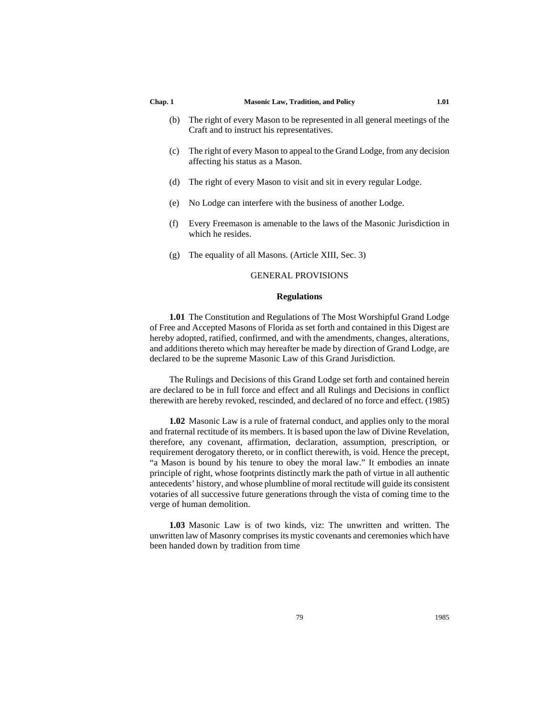- (b) The right of every Mason to be represented in all general meetings of the Craft and to instruct his representatives.
- (c) The right of every Mason to appeal to the Grand Lodge, from any decision affecting his status as a Mason.
- (d) The right of every Mason to visit and sit in every regular Lodge.
- (e) No Lodge can interfere with the business of another Lodge.
- (f) Every Freemason is amenable to the laws of the Masonic Jurisdiction in which he resides.
- (g) The equality of all Masons. (Article XIII, Sec. 3)

# GENERAL PROVISIONS

## **Regulations**

**1.01** The Constitution and Regulations of The Most Worshipful Grand Lodge of Free and Accepted Masons of Florida as set forth and contained in this Digest are hereby adopted, ratified, confirmed, and with the amendments, changes, alterations, and additions thereto which may hereafter be made by direction of Grand Lodge, are declared to be the supreme Masonic Law of this Grand Jurisdiction.

The Rulings and Decisions of this Grand Lodge set forth and contained herein are declared to be in full force and effect and all Rulings and Decisions in conflict therewith are hereby revoked, rescinded, and declared of no force and effect. (1985)

**1.02** Masonic Law is a rule of fraternal conduct, and applies only to the moral and fraternal rectitude of its members. It is based upon the law of Divine Revelation, therefore, any covenant, affirmation, declaration, assumption, prescription, or requirement derogatory thereto, or in conflict therewith, is void. Hence the precept, "a Mason is bound by his tenure to obey the moral law." It embodies an innate principle of right, whose footprints distinctly mark the path of virtue in all authentic antecedents' history, and whose plumbline of moral rectitude will guide its consistent votaries of all successive future generations through the vista of coming time to the verge of human demolition.

**1.03** Masonic Law is of two kinds, viz: The unwritten and written. The unwritten law of Masonry comprises its mystic covenants and ceremonies which have been handed down by tradition from time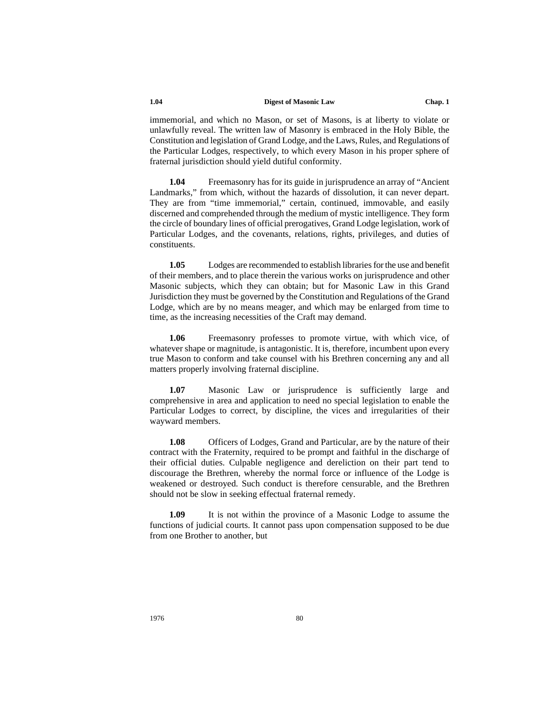immemorial, and which no Mason, or set of Masons, is at liberty to violate or unlawfully reveal. The written law of Masonry is embraced in the Holy Bible, the Constitution and legislation of Grand Lodge, and the Laws, Rules, and Regulations of the Particular Lodges, respectively, to which every Mason in his proper sphere of fraternal jurisdiction should yield dutiful conformity.

**1.04** Freemasonry has for its guide in jurisprudence an array of "Ancient Landmarks," from which, without the hazards of dissolution, it can never depart. They are from "time immemorial," certain, continued, immovable, and easily discerned and comprehended through the medium of mystic intelligence. They form the circle of boundary lines of official prerogatives, Grand Lodge legislation, work of Particular Lodges, and the covenants, relations, rights, privileges, and duties of constituents.

**1.05** Lodges are recommended to establish libraries for the use and benefit of their members, and to place therein the various works on jurisprudence and other Masonic subjects, which they can obtain; but for Masonic Law in this Grand Jurisdiction they must be governed by the Constitution and Regulations of the Grand Lodge, which are by no means meager, and which may be enlarged from time to time, as the increasing necessities of the Craft may demand.

**1.06** Freemasonry professes to promote virtue, with which vice, of whatever shape or magnitude, is antagonistic. It is, therefore, incumbent upon every true Mason to conform and take counsel with his Brethren concerning any and all matters properly involving fraternal discipline.

**1.07** Masonic Law or jurisprudence is sufficiently large and comprehensive in area and application to need no special legislation to enable the Particular Lodges to correct, by discipline, the vices and irregularities of their wayward members.

**1.08** Officers of Lodges, Grand and Particular, are by the nature of their contract with the Fraternity, required to be prompt and faithful in the discharge of their official duties. Culpable negligence and dereliction on their part tend to discourage the Brethren, whereby the normal force or influence of the Lodge is weakened or destroyed. Such conduct is therefore censurable, and the Brethren should not be slow in seeking effectual fraternal remedy.

**1.09** It is not within the province of a Masonic Lodge to assume the functions of judicial courts. It cannot pass upon compensation supposed to be due from one Brother to another, but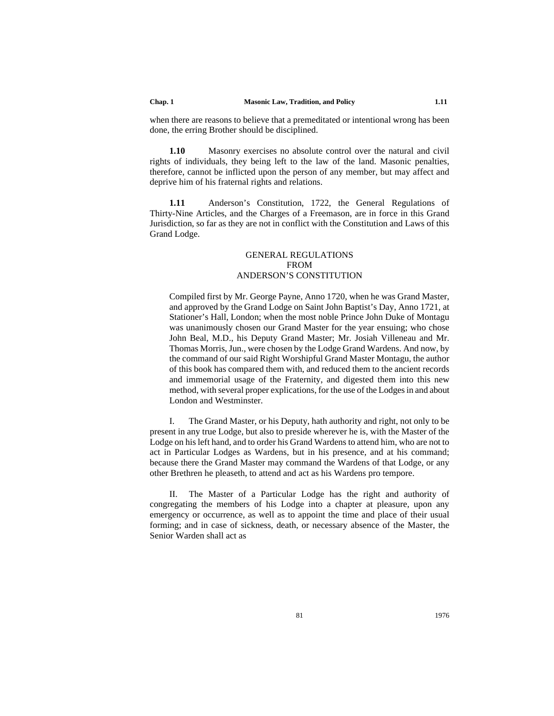when there are reasons to believe that a premeditated or intentional wrong has been done, the erring Brother should be disciplined.

**1.10** Masonry exercises no absolute control over the natural and civil rights of individuals, they being left to the law of the land. Masonic penalties, therefore, cannot be inflicted upon the person of any member, but may affect and deprive him of his fraternal rights and relations.

**1.11** Anderson's Constitution, 1722, the General Regulations of Thirty-Nine Articles, and the Charges of a Freemason, are in force in this Grand Jurisdiction, so far as they are not in conflict with the Constitution and Laws of this Grand Lodge.

# GENERAL REGULATIONS FROM ANDERSON'S CONSTITUTION

Compiled first by Mr. George Payne, Anno 1720, when he was Grand Master, and approved by the Grand Lodge on Saint John Baptist's Day, Anno 1721, at Stationer's Hall, London; when the most noble Prince John Duke of Montagu was unanimously chosen our Grand Master for the year ensuing; who chose John Beal, M.D., his Deputy Grand Master; Mr. Josiah Villeneau and Mr. Thomas Morris, Jun., were chosen by the Lodge Grand Wardens. And now, by the command of our said Right Worshipful Grand Master Montagu, the author of this book has compared them with, and reduced them to the ancient records and immemorial usage of the Fraternity, and digested them into this new method, with several proper explications, for the use of the Lodges in and about London and Westminster.

I. The Grand Master, or his Deputy, hath authority and right, not only to be present in any true Lodge, but also to preside wherever he is, with the Master of the Lodge on his left hand, and to order his Grand Wardens to attend him, who are not to act in Particular Lodges as Wardens, but in his presence, and at his command; because there the Grand Master may command the Wardens of that Lodge, or any other Brethren he pleaseth, to attend and act as his Wardens pro tempore.

II. The Master of a Particular Lodge has the right and authority of congregating the members of his Lodge into a chapter at pleasure, upon any emergency or occurrence, as well as to appoint the time and place of their usual forming; and in case of sickness, death, or necessary absence of the Master, the Senior Warden shall act as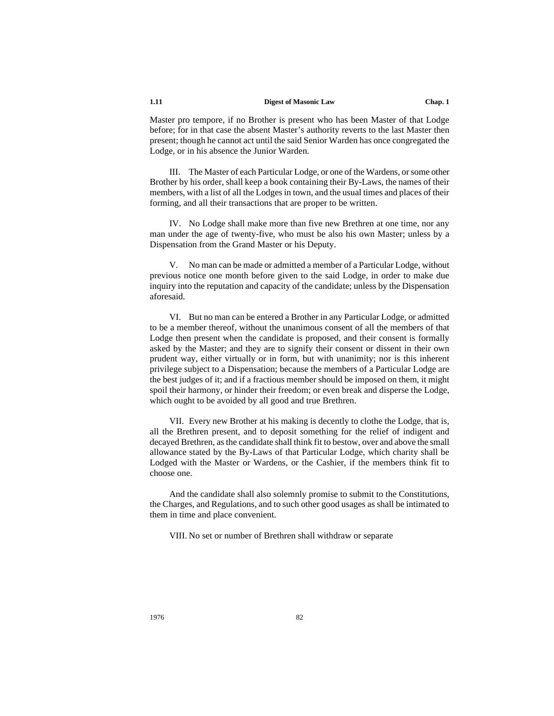Master pro tempore, if no Brother is present who has been Master of that Lodge before; for in that case the absent Master's authority reverts to the last Master then present; though he cannot act until the said Senior Warden has once congregated the Lodge, or in his absence the Junior Warden.

III. The Master of each Particular Lodge, or one of the Wardens, or some other Brother by his order, shall keep a book containing their By-Laws, the names of their members, with a list of all the Lodges in town, and the usual times and places of their forming, and all their transactions that are proper to be written.

IV. No Lodge shall make more than five new Brethren at one time, nor any man under the age of twenty-five, who must be also his own Master; unless by a Dispensation from the Grand Master or his Deputy.

V. No man can be made or admitted a member of a Particular Lodge, without previous notice one month before given to the said Lodge, in order to make due inquiry into the reputation and capacity of the candidate; unless by the Dispensation aforesaid.

VI. But no man can be entered a Brother in any Particular Lodge, or admitted to be a member thereof, without the unanimous consent of all the members of that Lodge then present when the candidate is proposed, and their consent is formally asked by the Master; and they are to signify their consent or dissent in their own prudent way, either virtually or in form, but with unanimity; nor is this inherent privilege subject to a Dispensation; because the members of a Particular Lodge are the best judges of it; and if a fractious member should be imposed on them, it might spoil their harmony, or hinder their freedom; or even break and disperse the Lodge, which ought to be avoided by all good and true Brethren.

VII. Every new Brother at his making is decently to clothe the Lodge, that is, all the Brethren present, and to deposit something for the relief of indigent and decayed Brethren, as the candidate shall think fit to bestow, over and above the small allowance stated by the By-Laws of that Particular Lodge, which charity shall be Lodged with the Master or Wardens, or the Cashier, if the members think fit to choose one.

And the candidate shall also solemnly promise to submit to the Constitutions, the Charges, and Regulations, and to such other good usages as shall be intimated to them in time and place convenient.

VIII. No set or number of Brethren shall withdraw or separate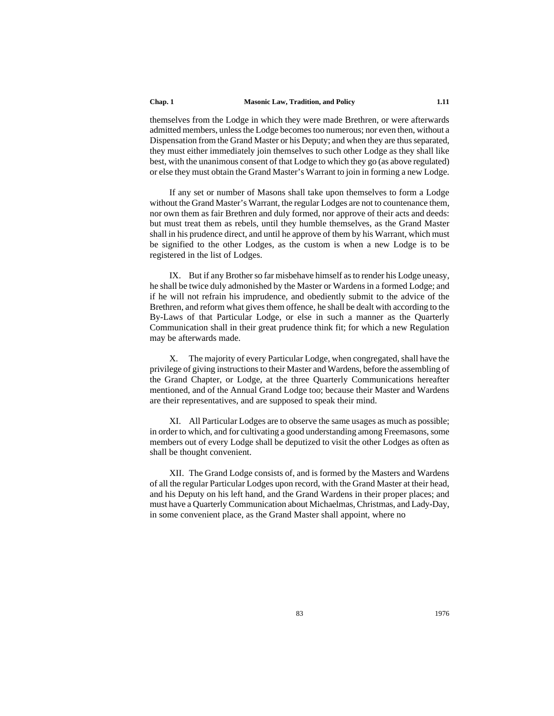themselves from the Lodge in which they were made Brethren, or were afterwards admitted members, unless the Lodge becomes too numerous; nor even then, without a Dispensation from the Grand Master or his Deputy; and when they are thus separated, they must either immediately join themselves to such other Lodge as they shall like best, with the unanimous consent of that Lodge to which they go (as above regulated) or else they must obtain the Grand Master's Warrant to join in forming a new Lodge.

If any set or number of Masons shall take upon themselves to form a Lodge without the Grand Master's Warrant, the regular Lodges are not to countenance them, nor own them as fair Brethren and duly formed, nor approve of their acts and deeds: but must treat them as rebels, until they humble themselves, as the Grand Master shall in his prudence direct, and until he approve of them by his Warrant, which must be signified to the other Lodges, as the custom is when a new Lodge is to be registered in the list of Lodges.

IX. But if any Brother so far misbehave himself as to render his Lodge uneasy, he shall be twice duly admonished by the Master or Wardens in a formed Lodge; and if he will not refrain his imprudence, and obediently submit to the advice of the Brethren, and reform what gives them offence, he shall be dealt with according to the By-Laws of that Particular Lodge, or else in such a manner as the Quarterly Communication shall in their great prudence think fit; for which a new Regulation may be afterwards made.

X. The majority of every Particular Lodge, when congregated, shall have the privilege of giving instructions to their Master and Wardens, before the assembling of the Grand Chapter, or Lodge, at the three Quarterly Communications hereafter mentioned, and of the Annual Grand Lodge too; because their Master and Wardens are their representatives, and are supposed to speak their mind.

XI. All Particular Lodges are to observe the same usages as much as possible; in order to which, and for cultivating a good understanding among Freemasons, some members out of every Lodge shall be deputized to visit the other Lodges as often as shall be thought convenient.

XII. The Grand Lodge consists of, and is formed by the Masters and Wardens of all the regular Particular Lodges upon record, with the Grand Master at their head, and his Deputy on his left hand, and the Grand Wardens in their proper places; and must have a Quarterly Communication about Michaelmas, Christmas, and Lady-Day, in some convenient place, as the Grand Master shall appoint, where no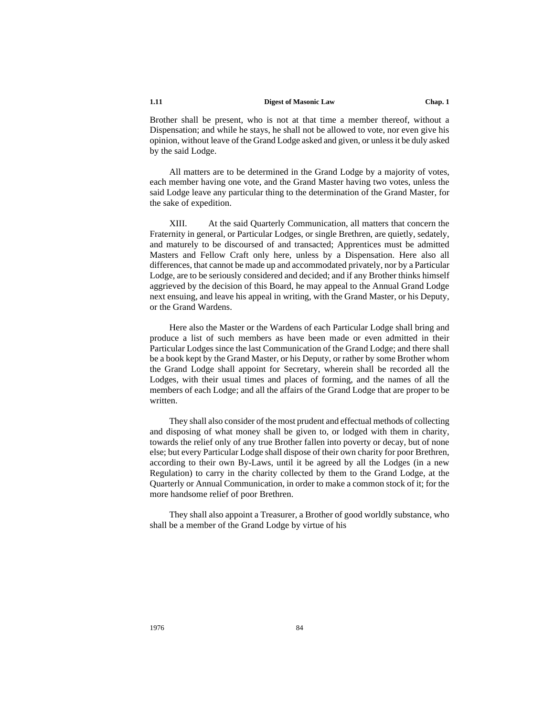Brother shall be present, who is not at that time a member thereof, without a Dispensation; and while he stays, he shall not be allowed to vote, nor even give his opinion, without leave of the Grand Lodge asked and given, or unless it be duly asked by the said Lodge.

All matters are to be determined in the Grand Lodge by a majority of votes, each member having one vote, and the Grand Master having two votes, unless the said Lodge leave any particular thing to the determination of the Grand Master, for the sake of expedition.

XIII. At the said Quarterly Communication, all matters that concern the Fraternity in general, or Particular Lodges, or single Brethren, are quietly, sedately, and maturely to be discoursed of and transacted; Apprentices must be admitted Masters and Fellow Craft only here, unless by a Dispensation. Here also all differences, that cannot be made up and accommodated privately, nor by a Particular Lodge, are to be seriously considered and decided; and if any Brother thinks himself aggrieved by the decision of this Board, he may appeal to the Annual Grand Lodge next ensuing, and leave his appeal in writing, with the Grand Master, or his Deputy, or the Grand Wardens.

Here also the Master or the Wardens of each Particular Lodge shall bring and produce a list of such members as have been made or even admitted in their Particular Lodges since the last Communication of the Grand Lodge; and there shall be a book kept by the Grand Master, or his Deputy, or rather by some Brother whom the Grand Lodge shall appoint for Secretary, wherein shall be recorded all the Lodges, with their usual times and places of forming, and the names of all the members of each Lodge; and all the affairs of the Grand Lodge that are proper to be written.

They shall also consider of the most prudent and effectual methods of collecting and disposing of what money shall be given to, or lodged with them in charity, towards the relief only of any true Brother fallen into poverty or decay, but of none else; but every Particular Lodge shall dispose of their own charity for poor Brethren, according to their own By-Laws, until it be agreed by all the Lodges (in a new Regulation) to carry in the charity collected by them to the Grand Lodge, at the Quarterly or Annual Communication, in order to make a common stock of it; for the more handsome relief of poor Brethren.

They shall also appoint a Treasurer, a Brother of good worldly substance, who shall be a member of the Grand Lodge by virtue of his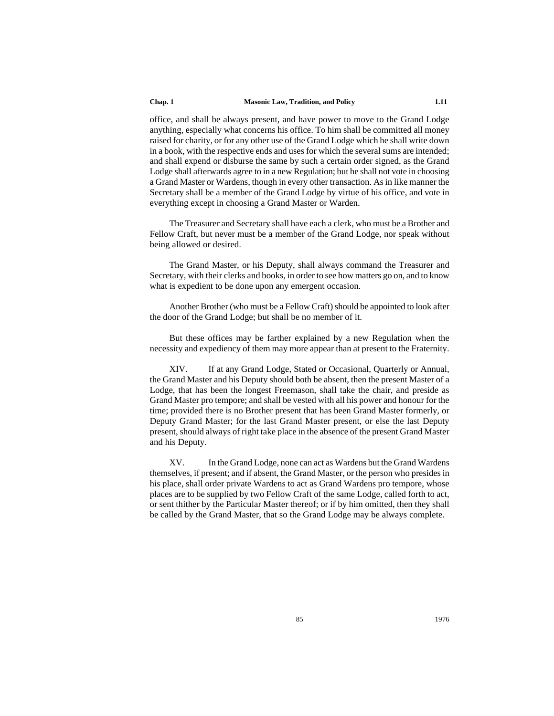office, and shall be always present, and have power to move to the Grand Lodge anything, especially what concerns his office. To him shall be committed all money raised for charity, or for any other use of the Grand Lodge which he shall write down in a book, with the respective ends and uses for which the several sums are intended; and shall expend or disburse the same by such a certain order signed, as the Grand Lodge shall afterwards agree to in a new Regulation; but he shall not vote in choosing a Grand Master or Wardens, though in every other transaction. As in like manner the Secretary shall be a member of the Grand Lodge by virtue of his office, and vote in everything except in choosing a Grand Master or Warden.

The Treasurer and Secretary shall have each a clerk, who must be a Brother and Fellow Craft, but never must be a member of the Grand Lodge, nor speak without being allowed or desired.

The Grand Master, or his Deputy, shall always command the Treasurer and Secretary, with their clerks and books, in order to see how matters go on, and to know what is expedient to be done upon any emergent occasion.

Another Brother (who must be a Fellow Craft) should be appointed to look after the door of the Grand Lodge; but shall be no member of it.

But these offices may be farther explained by a new Regulation when the necessity and expediency of them may more appear than at present to the Fraternity.

XIV. If at any Grand Lodge, Stated or Occasional, Quarterly or Annual, the Grand Master and his Deputy should both be absent, then the present Master of a Lodge, that has been the longest Freemason, shall take the chair, and preside as Grand Master pro tempore; and shall be vested with all his power and honour for the time; provided there is no Brother present that has been Grand Master formerly, or Deputy Grand Master; for the last Grand Master present, or else the last Deputy present, should always of right take place in the absence of the present Grand Master and his Deputy.

XV. In the Grand Lodge, none can act as Wardens but the Grand Wardens themselves, if present; and if absent, the Grand Master, or the person who presides in his place, shall order private Wardens to act as Grand Wardens pro tempore, whose places are to be supplied by two Fellow Craft of the same Lodge, called forth to act, or sent thither by the Particular Master thereof; or if by him omitted, then they shall be called by the Grand Master, that so the Grand Lodge may be always complete.

85 1976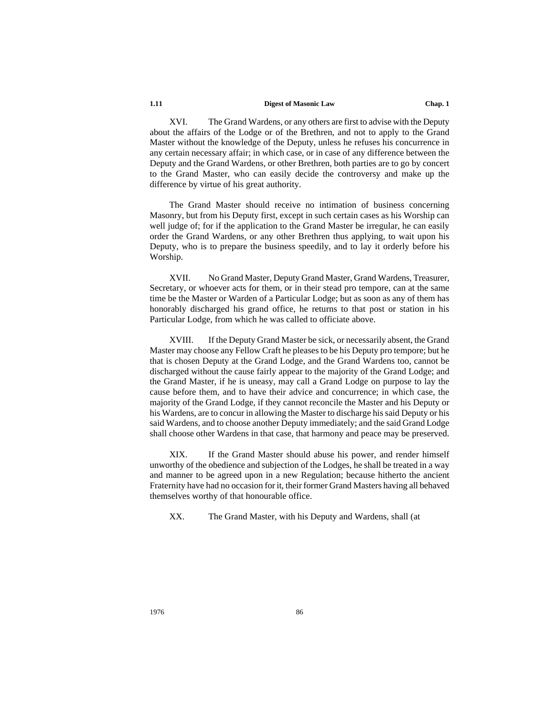XVI. The Grand Wardens, or any others are first to advise with the Deputy about the affairs of the Lodge or of the Brethren, and not to apply to the Grand Master without the knowledge of the Deputy, unless he refuses his concurrence in any certain necessary affair; in which case, or in case of any difference between the Deputy and the Grand Wardens, or other Brethren, both parties are to go by concert to the Grand Master, who can easily decide the controversy and make up the difference by virtue of his great authority.

The Grand Master should receive no intimation of business concerning Masonry, but from his Deputy first, except in such certain cases as his Worship can well judge of; for if the application to the Grand Master be irregular, he can easily order the Grand Wardens, or any other Brethren thus applying, to wait upon his Deputy, who is to prepare the business speedily, and to lay it orderly before his Worship.

XVII. No Grand Master, Deputy Grand Master, Grand Wardens, Treasurer, Secretary, or whoever acts for them, or in their stead pro tempore, can at the same time be the Master or Warden of a Particular Lodge; but as soon as any of them has honorably discharged his grand office, he returns to that post or station in his Particular Lodge, from which he was called to officiate above.

XVIII. If the Deputy Grand Master be sick, or necessarily absent, the Grand Master may choose any Fellow Craft he pleases to be his Deputy pro tempore; but he that is chosen Deputy at the Grand Lodge, and the Grand Wardens too, cannot be discharged without the cause fairly appear to the majority of the Grand Lodge; and the Grand Master, if he is uneasy, may call a Grand Lodge on purpose to lay the cause before them, and to have their advice and concurrence; in which case, the majority of the Grand Lodge, if they cannot reconcile the Master and his Deputy or his Wardens, are to concur in allowing the Master to discharge his said Deputy or his said Wardens, and to choose another Deputy immediately; and the said Grand Lodge shall choose other Wardens in that case, that harmony and peace may be preserved.

XIX. If the Grand Master should abuse his power, and render himself unworthy of the obedience and subjection of the Lodges, he shall be treated in a way and manner to be agreed upon in a new Regulation; because hitherto the ancient Fraternity have had no occasion for it, their former Grand Masters having all behaved themselves worthy of that honourable office.

XX. The Grand Master, with his Deputy and Wardens, shall (at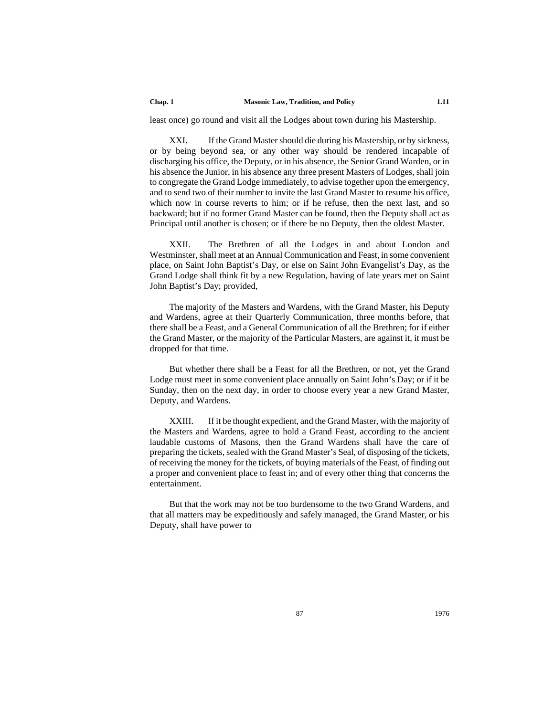least once) go round and visit all the Lodges about town during his Mastership.

XXI. If the Grand Master should die during his Mastership, or by sickness, or by being beyond sea, or any other way should be rendered incapable of discharging his office, the Deputy, or in his absence, the Senior Grand Warden, or in his absence the Junior, in his absence any three present Masters of Lodges, shall join to congregate the Grand Lodge immediately, to advise together upon the emergency, and to send two of their number to invite the last Grand Master to resume his office, which now in course reverts to him; or if he refuse, then the next last, and so backward; but if no former Grand Master can be found, then the Deputy shall act as Principal until another is chosen; or if there be no Deputy, then the oldest Master.

XXII. The Brethren of all the Lodges in and about London and Westminster, shall meet at an Annual Communication and Feast, in some convenient place, on Saint John Baptist's Day, or else on Saint John Evangelist's Day, as the Grand Lodge shall think fit by a new Regulation, having of late years met on Saint John Baptist's Day; provided,

The majority of the Masters and Wardens, with the Grand Master, his Deputy and Wardens, agree at their Quarterly Communication, three months before, that there shall be a Feast, and a General Communication of all the Brethren; for if either the Grand Master, or the majority of the Particular Masters, are against it, it must be dropped for that time.

But whether there shall be a Feast for all the Brethren, or not, yet the Grand Lodge must meet in some convenient place annually on Saint John's Day; or if it be Sunday, then on the next day, in order to choose every year a new Grand Master, Deputy, and Wardens.

XXIII. If it be thought expedient, and the Grand Master, with the majority of the Masters and Wardens, agree to hold a Grand Feast, according to the ancient laudable customs of Masons, then the Grand Wardens shall have the care of preparing the tickets, sealed with the Grand Master's Seal, of disposing of the tickets, of receiving the money for the tickets, of buying materials of the Feast, of finding out a proper and convenient place to feast in; and of every other thing that concerns the entertainment.

But that the work may not be too burdensome to the two Grand Wardens, and that all matters may be expeditiously and safely managed, the Grand Master, or his Deputy, shall have power to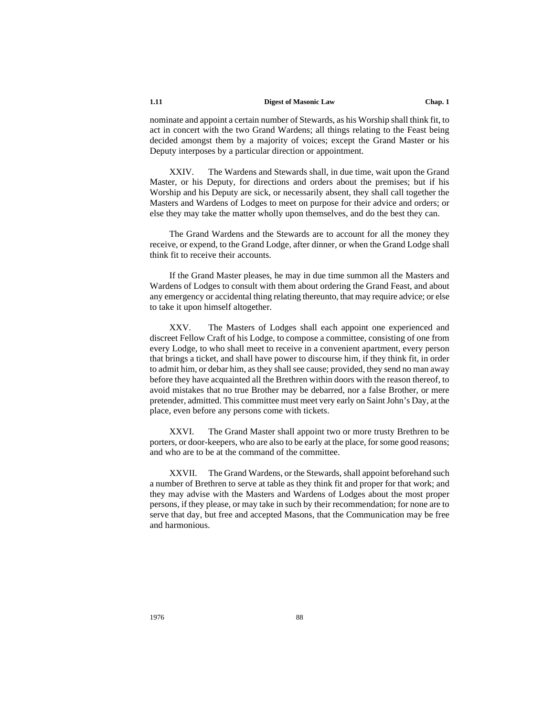nominate and appoint a certain number of Stewards, as his Worship shall think fit, to act in concert with the two Grand Wardens; all things relating to the Feast being decided amongst them by a majority of voices; except the Grand Master or his Deputy interposes by a particular direction or appointment.

XXIV. The Wardens and Stewards shall, in due time, wait upon the Grand Master, or his Deputy, for directions and orders about the premises; but if his Worship and his Deputy are sick, or necessarily absent, they shall call together the Masters and Wardens of Lodges to meet on purpose for their advice and orders; or else they may take the matter wholly upon themselves, and do the best they can.

The Grand Wardens and the Stewards are to account for all the money they receive, or expend, to the Grand Lodge, after dinner, or when the Grand Lodge shall think fit to receive their accounts.

If the Grand Master pleases, he may in due time summon all the Masters and Wardens of Lodges to consult with them about ordering the Grand Feast, and about any emergency or accidental thing relating thereunto, that may require advice; or else to take it upon himself altogether.

XXV. The Masters of Lodges shall each appoint one experienced and discreet Fellow Craft of his Lodge, to compose a committee, consisting of one from every Lodge, to who shall meet to receive in a convenient apartment, every person that brings a ticket, and shall have power to discourse him, if they think fit, in order to admit him, or debar him, as they shall see cause; provided, they send no man away before they have acquainted all the Brethren within doors with the reason thereof, to avoid mistakes that no true Brother may be debarred, nor a false Brother, or mere pretender, admitted. This committee must meet very early on Saint John's Day, at the place, even before any persons come with tickets.

XXVI. The Grand Master shall appoint two or more trusty Brethren to be porters, or door-keepers, who are also to be early at the place, for some good reasons; and who are to be at the command of the committee.

XXVII. The Grand Wardens, or the Stewards, shall appoint beforehand such a number of Brethren to serve at table as they think fit and proper for that work; and they may advise with the Masters and Wardens of Lodges about the most proper persons, if they please, or may take in such by their recommendation; for none are to serve that day, but free and accepted Masons, that the Communication may be free and harmonious.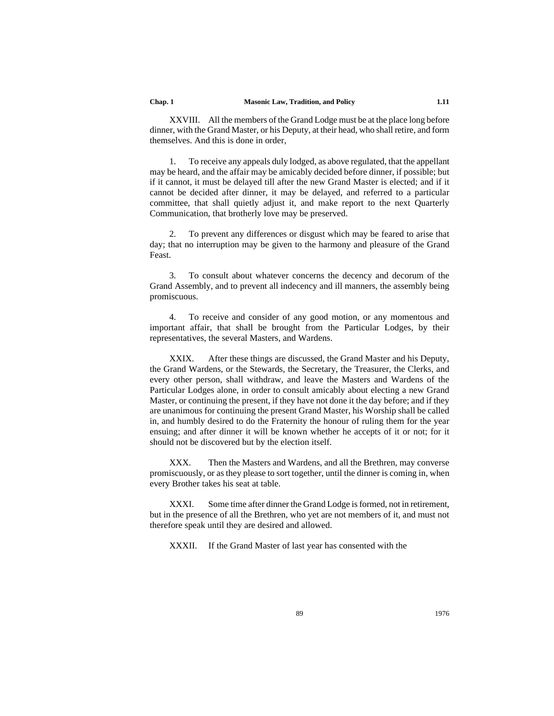XXVIII. All the members of the Grand Lodge must be at the place long before dinner, with the Grand Master, or his Deputy, at their head, who shall retire, and form themselves. And this is done in order,

1. To receive any appeals duly lodged, as above regulated, that the appellant may be heard, and the affair may be amicably decided before dinner, if possible; but if it cannot, it must be delayed till after the new Grand Master is elected; and if it cannot be decided after dinner, it may be delayed, and referred to a particular committee, that shall quietly adjust it, and make report to the next Quarterly Communication, that brotherly love may be preserved.

2. To prevent any differences or disgust which may be feared to arise that day; that no interruption may be given to the harmony and pleasure of the Grand Feast.

3. To consult about whatever concerns the decency and decorum of the Grand Assembly, and to prevent all indecency and ill manners, the assembly being promiscuous.

4. To receive and consider of any good motion, or any momentous and important affair, that shall be brought from the Particular Lodges, by their representatives, the several Masters, and Wardens.

XXIX. After these things are discussed, the Grand Master and his Deputy, the Grand Wardens, or the Stewards, the Secretary, the Treasurer, the Clerks, and every other person, shall withdraw, and leave the Masters and Wardens of the Particular Lodges alone, in order to consult amicably about electing a new Grand Master, or continuing the present, if they have not done it the day before; and if they are unanimous for continuing the present Grand Master, his Worship shall be called in, and humbly desired to do the Fraternity the honour of ruling them for the year ensuing; and after dinner it will be known whether he accepts of it or not; for it should not be discovered but by the election itself.

XXX. Then the Masters and Wardens, and all the Brethren, may converse promiscuously, or as they please to sort together, until the dinner is coming in, when every Brother takes his seat at table.

XXXI. Some time after dinner the Grand Lodge is formed, not in retirement, but in the presence of all the Brethren, who yet are not members of it, and must not therefore speak until they are desired and allowed.

XXXII. If the Grand Master of last year has consented with the

89 1976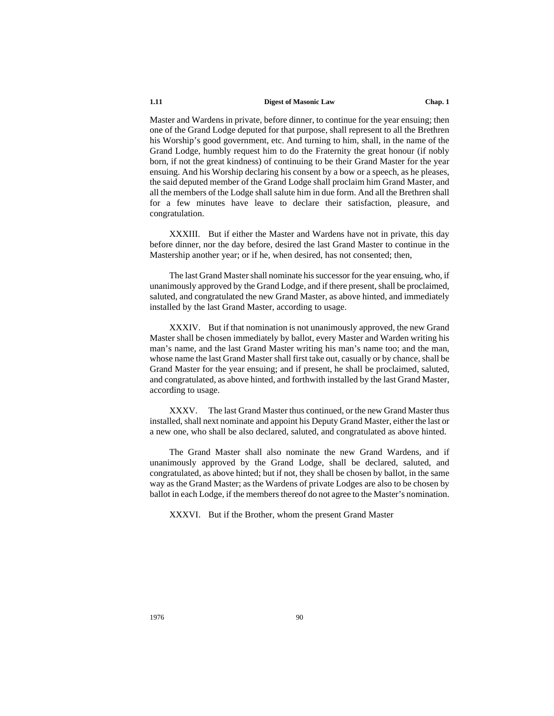Master and Wardens in private, before dinner, to continue for the year ensuing; then one of the Grand Lodge deputed for that purpose, shall represent to all the Brethren his Worship's good government, etc. And turning to him, shall, in the name of the Grand Lodge, humbly request him to do the Fraternity the great honour (if nobly born, if not the great kindness) of continuing to be their Grand Master for the year ensuing. And his Worship declaring his consent by a bow or a speech, as he pleases, the said deputed member of the Grand Lodge shall proclaim him Grand Master, and all the members of the Lodge shall salute him in due form. And all the Brethren shall for a few minutes have leave to declare their satisfaction, pleasure, and congratulation.

XXXIII. But if either the Master and Wardens have not in private, this day before dinner, nor the day before, desired the last Grand Master to continue in the Mastership another year; or if he, when desired, has not consented; then,

The last Grand Master shall nominate his successor for the year ensuing, who, if unanimously approved by the Grand Lodge, and if there present, shall be proclaimed, saluted, and congratulated the new Grand Master, as above hinted, and immediately installed by the last Grand Master, according to usage.

XXXIV. But if that nomination is not unanimously approved, the new Grand Master shall be chosen immediately by ballot, every Master and Warden writing his man's name, and the last Grand Master writing his man's name too; and the man, whose name the last Grand Master shall first take out, casually or by chance, shall be Grand Master for the year ensuing; and if present, he shall be proclaimed, saluted, and congratulated, as above hinted, and forthwith installed by the last Grand Master, according to usage.

XXXV. The last Grand Master thus continued, or the new Grand Master thus installed, shall next nominate and appoint his Deputy Grand Master, either the last or a new one, who shall be also declared, saluted, and congratulated as above hinted.

The Grand Master shall also nominate the new Grand Wardens, and if unanimously approved by the Grand Lodge, shall be declared, saluted, and congratulated, as above hinted; but if not, they shall be chosen by ballot, in the same way as the Grand Master; as the Wardens of private Lodges are also to be chosen by ballot in each Lodge, if the members thereof do not agree to the Master's nomination.

XXXVI. But if the Brother, whom the present Grand Master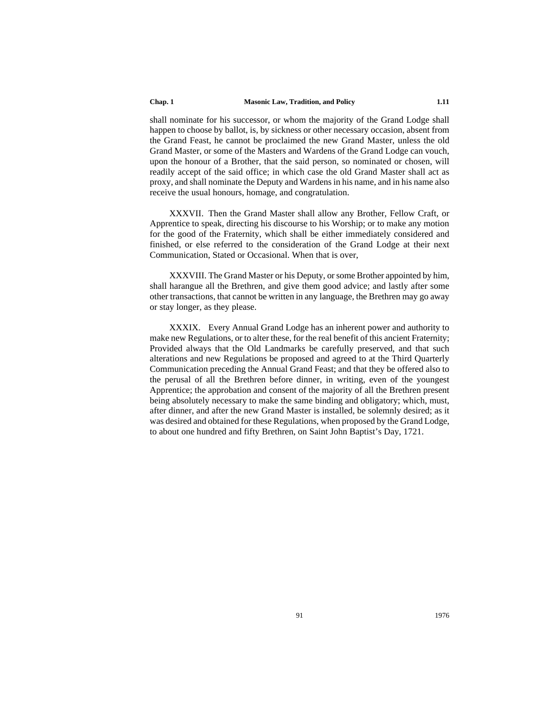shall nominate for his successor, or whom the majority of the Grand Lodge shall happen to choose by ballot, is, by sickness or other necessary occasion, absent from the Grand Feast, he cannot be proclaimed the new Grand Master, unless the old Grand Master, or some of the Masters and Wardens of the Grand Lodge can vouch, upon the honour of a Brother, that the said person, so nominated or chosen, will readily accept of the said office; in which case the old Grand Master shall act as proxy, and shall nominate the Deputy and Wardens in his name, and in his name also receive the usual honours, homage, and congratulation.

XXXVII. Then the Grand Master shall allow any Brother, Fellow Craft, or Apprentice to speak, directing his discourse to his Worship; or to make any motion for the good of the Fraternity, which shall be either immediately considered and finished, or else referred to the consideration of the Grand Lodge at their next Communication, Stated or Occasional. When that is over,

XXXVIII. The Grand Master or his Deputy, or some Brother appointed by him, shall harangue all the Brethren, and give them good advice; and lastly after some other transactions, that cannot be written in any language, the Brethren may go away or stay longer, as they please.

XXXIX. Every Annual Grand Lodge has an inherent power and authority to make new Regulations, or to alter these, for the real benefit of this ancient Fraternity; Provided always that the Old Landmarks be carefully preserved, and that such alterations and new Regulations be proposed and agreed to at the Third Quarterly Communication preceding the Annual Grand Feast; and that they be offered also to the perusal of all the Brethren before dinner, in writing, even of the youngest Apprentice; the approbation and consent of the majority of all the Brethren present being absolutely necessary to make the same binding and obligatory; which, must, after dinner, and after the new Grand Master is installed, be solemnly desired; as it was desired and obtained for these Regulations, when proposed by the Grand Lodge, to about one hundred and fifty Brethren, on Saint John Baptist's Day, 1721.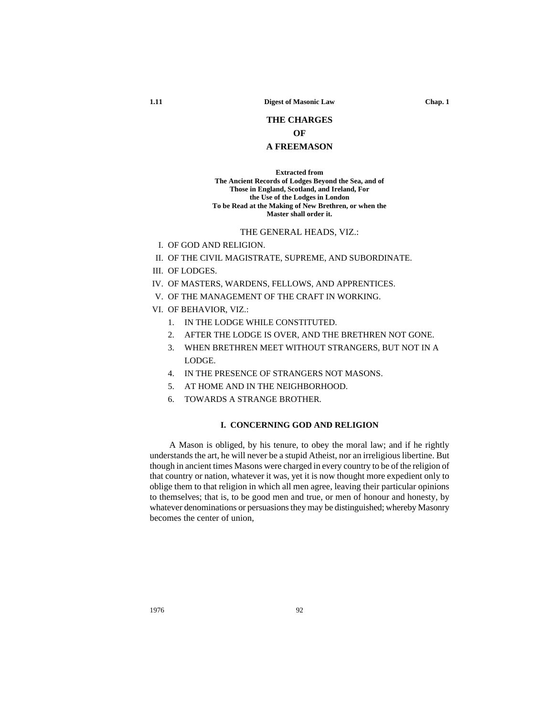# **THE CHARGES**

# **OF**

# **A FREEMASON**

**Extracted from The Ancient Records of Lodges Beyond the Sea, and of Those in England, Scotland, and Ireland, For the Use of the Lodges in London To be Read at the Making of New Brethren, or when the Master shall order it.**

## THE GENERAL HEADS, VIZ.:

- I. OF GOD AND RELIGION.
- II. OF THE CIVIL MAGISTRATE, SUPREME, AND SUBORDINATE.
- III. OF LODGES.
- IV. OF MASTERS, WARDENS, FELLOWS, AND APPRENTICES.
- V. OF THE MANAGEMENT OF THE CRAFT IN WORKING.
- VI. OF BEHAVIOR, VIZ.:
	- 1. IN THE LODGE WHILE CONSTITUTED.
	- 2. AFTER THE LODGE IS OVER, AND THE BRETHREN NOT GONE.
	- 3. WHEN BRETHREN MEET WITHOUT STRANGERS, BUT NOT IN A LODGE.
	- 4. IN THE PRESENCE OF STRANGERS NOT MASONS.
	- 5. AT HOME AND IN THE NEIGHBORHOOD.
	- 6. TOWARDS A STRANGE BROTHER.

## **I. CONCERNING GOD AND RELIGION**

A Mason is obliged, by his tenure, to obey the moral law; and if he rightly understands the art, he will never be a stupid Atheist, nor an irreligious libertine. But though in ancient times Masons were charged in every country to be of the religion of that country or nation, whatever it was, yet it is now thought more expedient only to oblige them to that religion in which all men agree, leaving their particular opinions to themselves; that is, to be good men and true, or men of honour and honesty, by whatever denominations or persuasions they may be distinguished; whereby Masonry becomes the center of union,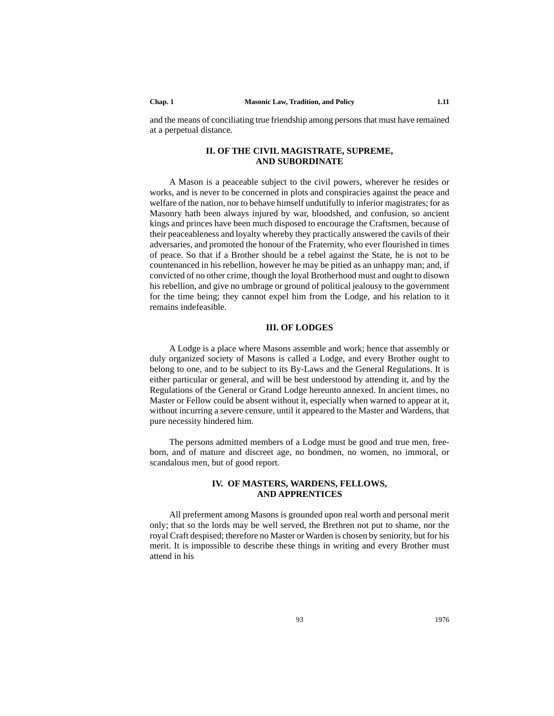and the means of conciliating true friendship among persons that must have remained at a perpetual distance.

# **II. OF THE CIVIL MAGISTRATE, SUPREME, AND SUBORDINATE**

A Mason is a peaceable subject to the civil powers, wherever he resides or works, and is never to be concerned in plots and conspiracies against the peace and welfare of the nation, nor to behave himself undutifully to inferior magistrates; for as Masonry hath been always injured by war, bloodshed, and confusion, so ancient kings and princes have been much disposed to encourage the Craftsmen, because of their peaceableness and loyalty whereby they practically answered the cavils of their adversaries, and promoted the honour of the Fraternity, who ever flourished in times of peace. So that if a Brother should be a rebel against the State, he is not to be countenanced in his rebellion, however he may be pitied as an unhappy man; and, if convicted of no other crime, though the loyal Brotherhood must and ought to disown his rebellion, and give no umbrage or ground of political jealousy to the government for the time being; they cannot expel him from the Lodge, and his relation to it remains indefeasible.

# **III. OF LODGES**

 A Lodge is a place where Masons assemble and work; hence that assembly or duly organized society of Masons is called a Lodge, and every Brother ought to belong to one, and to be subject to its By-Laws and the General Regulations. It is either particular or general, and will be best understood by attending it, and by the Regulations of the General or Grand Lodge hereunto annexed. In ancient times, no Master or Fellow could be absent without it, especially when warned to appear at it, without incurring a severe censure, until it appeared to the Master and Wardens, that pure necessity hindered him.

The persons admitted members of a Lodge must be good and true men, freeborn, and of mature and discreet age, no bondmen, no women, no immoral, or scandalous men, but of good report.

## **IV. OF MASTERS, WARDENS, FELLOWS, AND APPRENTICES**

All preferment among Masons is grounded upon real worth and personal merit only; that so the lords may be well served, the Brethren not put to shame, nor the royal Craft despised; therefore no Master or Warden is chosen by seniority, but for his merit. It is impossible to describe these things in writing and every Brother must attend in his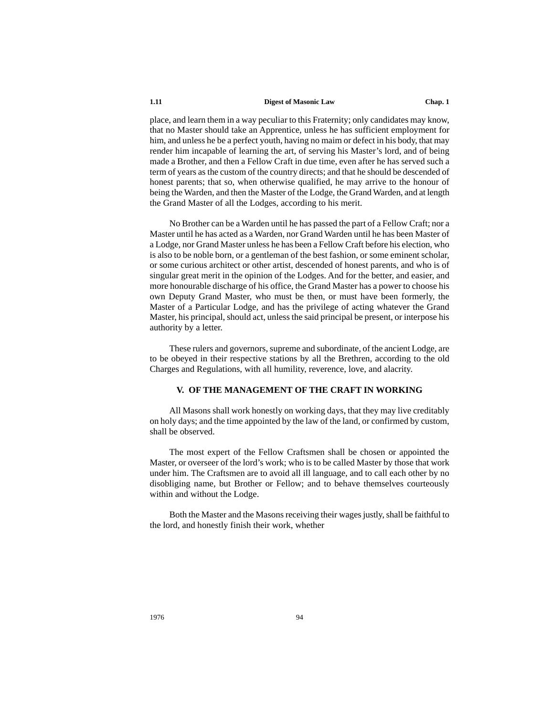place, and learn them in a way peculiar to this Fraternity; only candidates may know, that no Master should take an Apprentice, unless he has sufficient employment for him, and unless he be a perfect youth, having no maim or defect in his body, that may render him incapable of learning the art, of serving his Master's lord, and of being made a Brother, and then a Fellow Craft in due time, even after he has served such a term of years as the custom of the country directs; and that he should be descended of honest parents; that so, when otherwise qualified, he may arrive to the honour of being the Warden, and then the Master of the Lodge, the Grand Warden, and at length the Grand Master of all the Lodges, according to his merit.

No Brother can be a Warden until he has passed the part of a Fellow Craft; nor a Master until he has acted as a Warden, nor Grand Warden until he has been Master of a Lodge, nor Grand Master unless he has been a Fellow Craft before his election, who is also to be noble born, or a gentleman of the best fashion, or some eminent scholar, or some curious architect or other artist, descended of honest parents, and who is of singular great merit in the opinion of the Lodges. And for the better, and easier, and more honourable discharge of his office, the Grand Master has a power to choose his own Deputy Grand Master, who must be then, or must have been formerly, the Master of a Particular Lodge, and has the privilege of acting whatever the Grand Master, his principal, should act, unless the said principal be present, or interpose his authority by a letter.

These rulers and governors, supreme and subordinate, of the ancient Lodge, are to be obeyed in their respective stations by all the Brethren, according to the old Charges and Regulations, with all humility, reverence, love, and alacrity.

# **V. OF THE MANAGEMENT OF THE CRAFT IN WORKING**

All Masons shall work honestly on working days, that they may live creditably on holy days; and the time appointed by the law of the land, or confirmed by custom, shall be observed.

The most expert of the Fellow Craftsmen shall be chosen or appointed the Master, or overseer of the lord's work; who is to be called Master by those that work under him. The Craftsmen are to avoid all ill language, and to call each other by no disobliging name, but Brother or Fellow; and to behave themselves courteously within and without the Lodge.

Both the Master and the Masons receiving their wages justly, shall be faithful to the lord, and honestly finish their work, whether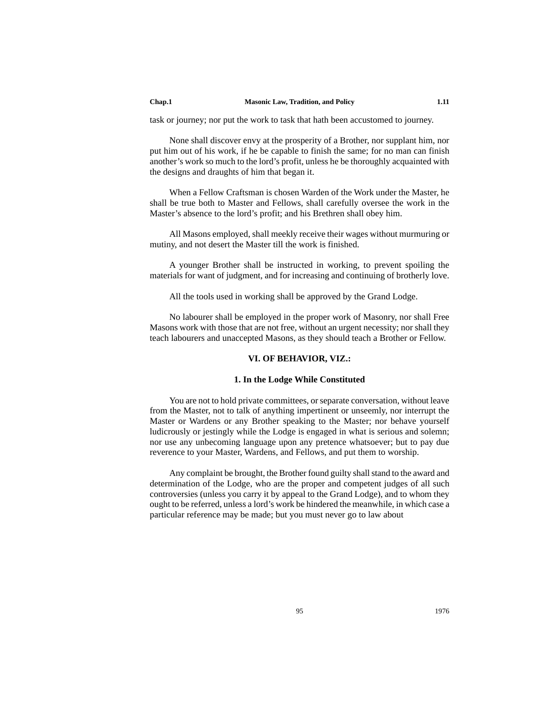task or journey; nor put the work to task that hath been accustomed to journey.

None shall discover envy at the prosperity of a Brother, nor supplant him, nor put him out of his work, if he be capable to finish the same; for no man can finish another's work so much to the lord's profit, unless he be thoroughly acquainted with the designs and draughts of him that began it.

When a Fellow Craftsman is chosen Warden of the Work under the Master, he shall be true both to Master and Fellows, shall carefully oversee the work in the Master's absence to the lord's profit; and his Brethren shall obey him.

All Masons employed, shall meekly receive their wages without murmuring or mutiny, and not desert the Master till the work is finished.

A younger Brother shall be instructed in working, to prevent spoiling the materials for want of judgment, and for increasing and continuing of brotherly love.

All the tools used in working shall be approved by the Grand Lodge.

No labourer shall be employed in the proper work of Masonry, nor shall Free Masons work with those that are not free, without an urgent necessity; nor shall they teach labourers and unaccepted Masons, as they should teach a Brother or Fellow.

# **VI. OF BEHAVIOR, VIZ.:**

## **1. In the Lodge While Constituted**

You are not to hold private committees, or separate conversation, without leave from the Master, not to talk of anything impertinent or unseemly, nor interrupt the Master or Wardens or any Brother speaking to the Master; nor behave yourself ludicrously or jestingly while the Lodge is engaged in what is serious and solemn; nor use any unbecoming language upon any pretence whatsoever; but to pay due reverence to your Master, Wardens, and Fellows, and put them to worship.

Any complaint be brought, the Brother found guilty shall stand to the award and determination of the Lodge, who are the proper and competent judges of all such controversies (unless you carry it by appeal to the Grand Lodge), and to whom they ought to be referred, unless a lord's work be hindered the meanwhile, in which case a particular reference may be made; but you must never go to law about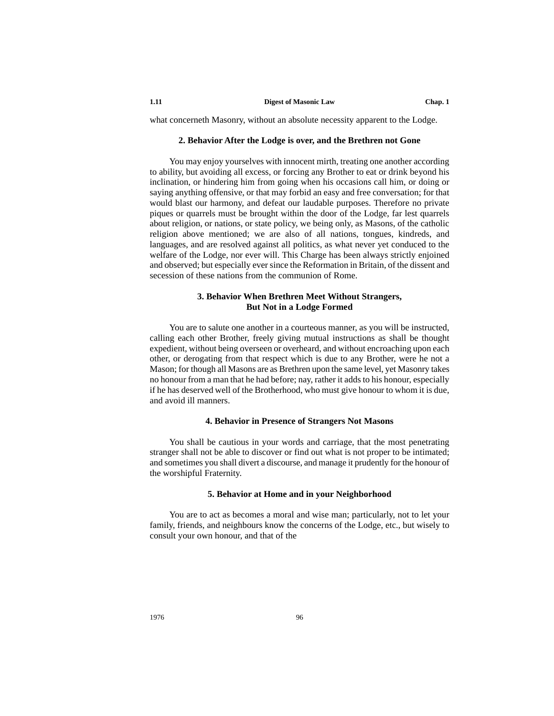what concerneth Masonry, without an absolute necessity apparent to the Lodge.

## **2. Behavior After the Lodge is over, and the Brethren not Gone**

You may enjoy yourselves with innocent mirth, treating one another according to ability, but avoiding all excess, or forcing any Brother to eat or drink beyond his inclination, or hindering him from going when his occasions call him, or doing or saying anything offensive, or that may forbid an easy and free conversation; for that would blast our harmony, and defeat our laudable purposes. Therefore no private piques or quarrels must be brought within the door of the Lodge, far lest quarrels about religion, or nations, or state policy, we being only, as Masons, of the catholic religion above mentioned; we are also of all nations, tongues, kindreds, and languages, and are resolved against all politics, as what never yet conduced to the welfare of the Lodge, nor ever will. This Charge has been always strictly enjoined and observed; but especially ever since the Reformation in Britain, of the dissent and secession of these nations from the communion of Rome.

# **3. Behavior When Brethren Meet Without Strangers, But Not in a Lodge Formed**

You are to salute one another in a courteous manner, as you will be instructed, calling each other Brother, freely giving mutual instructions as shall be thought expedient, without being overseen or overheard, and without encroaching upon each other, or derogating from that respect which is due to any Brother, were he not a Mason; for though all Masons are as Brethren upon the same level, yet Masonry takes no honour from a man that he had before; nay, rather it adds to his honour, especially if he has deserved well of the Brotherhood, who must give honour to whom it is due, and avoid ill manners.

## **4. Behavior in Presence of Strangers Not Masons**

You shall be cautious in your words and carriage, that the most penetrating stranger shall not be able to discover or find out what is not proper to be intimated; and sometimes you shall divert a discourse, and manage it prudently for the honour of the worshipful Fraternity.

## **5. Behavior at Home and in your Neighborhood**

You are to act as becomes a moral and wise man; particularly, not to let your family, friends, and neighbours know the concerns of the Lodge, etc., but wisely to consult your own honour, and that of the